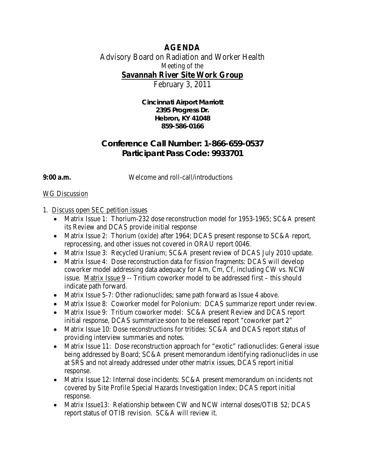## **AGENDA**

# Advisory Board on Radiation and Worker Health Meeting of the

**Savannah River Site Work Group**

February 3, 2011

**Cincinnati Airport Marriott 2395 Progress Dr. Hebron, KY 41048 859-586-0166**

## **Conference Call Number: 1-866-659-0537 Participant Pass Code: 9933701**

**9:00 a.m.** Welcome and roll-call/introductions

## WG Discussion

## 1. Discuss open SEC petition issues

- Matrix Issue 1: Thorium-232 dose reconstruction model for 1953-1965; SC&A present its Review and DCAS provide initial response
- Matrix Issue 2: Thorium (oxide) after 1964; DCAS present response to SC&A report, reprocessing, and other issues not covered in ORAU report 0046.
- Matrix Issue 3: Recycled Uranium; SC&A present review of DCAS July 2010 update.
- Matrix Issue 4: Dose reconstruction data for fission fragments: DCAS will develop coworker model addressing data adequacy for Am, Cm, Cf, including CW vs. NCW issue. Matrix Issue 9 -- Tritium coworker model to be addressed first – this should indicate path forward.
- Matrix Issue 5-7: Other radionuclides; same path forward as Issue 4 above.
- Matrix Issue 8: Coworker model for Polonium: DCAS summarize report under review.
- Matrix Issue 9: Tritium coworker model: SC&A present Review and DCAS report initial response, DCAS summarize soon to be released report "coworker part 2"
- Matrix Issue 10: Dose reconstructions for tritides: SC&A and DCAS report status of providing interview summaries and notes.
- Matrix Issue 11: Dose reconstruction approach for "exotic" radionuclides: General issue being addressed by Board; SC&A present memorandum identifying radionuclides in use at SRS and not already addressed under other matrix issues, DCAS report initial response.
- Matrix Issue 12: Internal dose incidents: SC&A present memorandum on incidents not covered by Site Profile Special Hazards Investigation Index; DCAS report initial response.
- Matrix Issue13: Relationship between CW and NCW internal doses/OTIB 52; DCAS report status of OTIB revision. SC&A will review it.